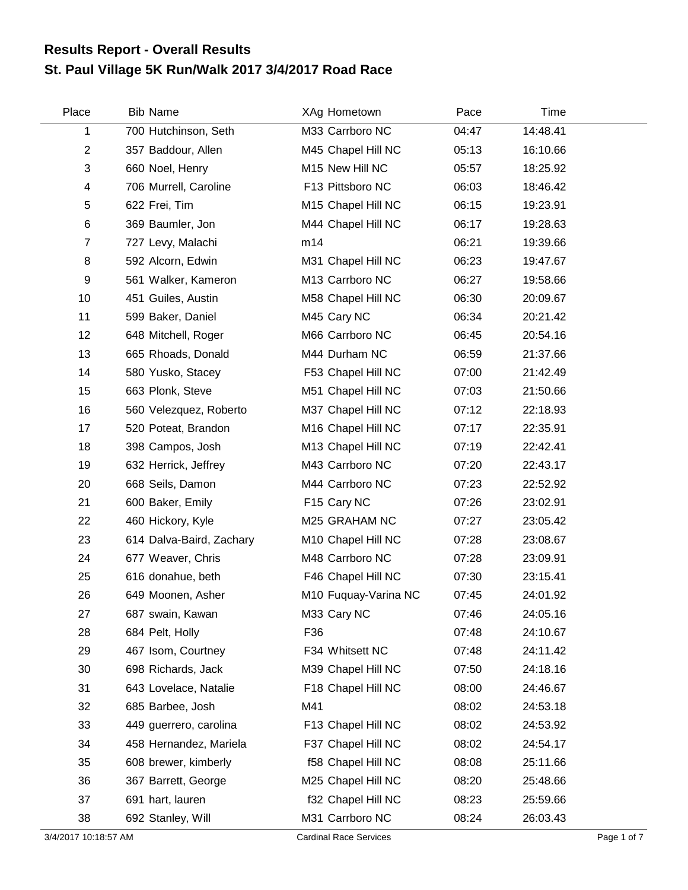## **St. Paul Village 5K Run/Walk 2017 3/4/2017 Road Race Results Report - Overall Results**

| Place          | <b>Bib Name</b>          | XAg Hometown         | Pace  | Time     |
|----------------|--------------------------|----------------------|-------|----------|
| 1              | 700 Hutchinson, Seth     | M33 Carrboro NC      | 04:47 | 14:48.41 |
| $\overline{2}$ | 357 Baddour, Allen       | M45 Chapel Hill NC   | 05:13 | 16:10.66 |
| 3              | 660 Noel, Henry          | M15 New Hill NC      | 05:57 | 18:25.92 |
| 4              | 706 Murrell, Caroline    | F13 Pittsboro NC     | 06:03 | 18:46.42 |
| 5              | 622 Frei, Tim            | M15 Chapel Hill NC   | 06:15 | 19:23.91 |
| $\,6$          | 369 Baumler, Jon         | M44 Chapel Hill NC   | 06:17 | 19:28.63 |
| $\overline{7}$ | 727 Levy, Malachi        | m14                  | 06:21 | 19:39.66 |
| 8              | 592 Alcorn, Edwin        | M31 Chapel Hill NC   | 06:23 | 19:47.67 |
| 9              | 561 Walker, Kameron      | M13 Carrboro NC      | 06:27 | 19:58.66 |
| 10             | 451 Guiles, Austin       | M58 Chapel Hill NC   | 06:30 | 20:09.67 |
| 11             | 599 Baker, Daniel        | M45 Cary NC          | 06:34 | 20:21.42 |
| 12             | 648 Mitchell, Roger      | M66 Carrboro NC      | 06:45 | 20:54.16 |
| 13             | 665 Rhoads, Donald       | M44 Durham NC        | 06:59 | 21:37.66 |
| 14             | 580 Yusko, Stacey        | F53 Chapel Hill NC   | 07:00 | 21:42.49 |
| 15             | 663 Plonk, Steve         | M51 Chapel Hill NC   | 07:03 | 21:50.66 |
| 16             | 560 Velezquez, Roberto   | M37 Chapel Hill NC   | 07:12 | 22:18.93 |
| 17             | 520 Poteat, Brandon      | M16 Chapel Hill NC   | 07:17 | 22:35.91 |
| 18             | 398 Campos, Josh         | M13 Chapel Hill NC   | 07:19 | 22:42.41 |
| 19             | 632 Herrick, Jeffrey     | M43 Carrboro NC      | 07:20 | 22:43.17 |
| 20             | 668 Seils, Damon         | M44 Carrboro NC      | 07:23 | 22:52.92 |
| 21             | 600 Baker, Emily         | F15 Cary NC          | 07:26 | 23:02.91 |
| 22             | 460 Hickory, Kyle        | M25 GRAHAM NC        | 07:27 | 23:05.42 |
| 23             | 614 Dalva-Baird, Zachary | M10 Chapel Hill NC   | 07:28 | 23:08.67 |
| 24             | 677 Weaver, Chris        | M48 Carrboro NC      | 07:28 | 23:09.91 |
| 25             | 616 donahue, beth        | F46 Chapel Hill NC   | 07:30 | 23:15.41 |
| 26             | 649 Moonen, Asher        | M10 Fuquay-Varina NC | 07:45 | 24:01.92 |
| 27             | 687 swain, Kawan         | M33 Cary NC          | 07:46 | 24:05.16 |
| 28             | 684 Pelt, Holly          | F36                  | 07:48 | 24:10.67 |
| 29             | 467 Isom, Courtney       | F34 Whitsett NC      | 07:48 | 24:11.42 |
| 30             | 698 Richards, Jack       | M39 Chapel Hill NC   | 07:50 | 24:18.16 |
| 31             | 643 Lovelace, Natalie    | F18 Chapel Hill NC   | 08:00 | 24:46.67 |
| 32             | 685 Barbee, Josh         | M41                  | 08:02 | 24:53.18 |
| 33             | 449 guerrero, carolina   | F13 Chapel Hill NC   | 08:02 | 24:53.92 |
| 34             | 458 Hernandez, Mariela   | F37 Chapel Hill NC   | 08:02 | 24:54.17 |
| 35             | 608 brewer, kimberly     | f58 Chapel Hill NC   | 08:08 | 25:11.66 |
| 36             | 367 Barrett, George      | M25 Chapel Hill NC   | 08:20 | 25:48.66 |
| 37             | 691 hart, lauren         | f32 Chapel Hill NC   | 08:23 | 25:59.66 |
| 38             | 692 Stanley, Will        | M31 Carrboro NC      | 08:24 | 26:03.43 |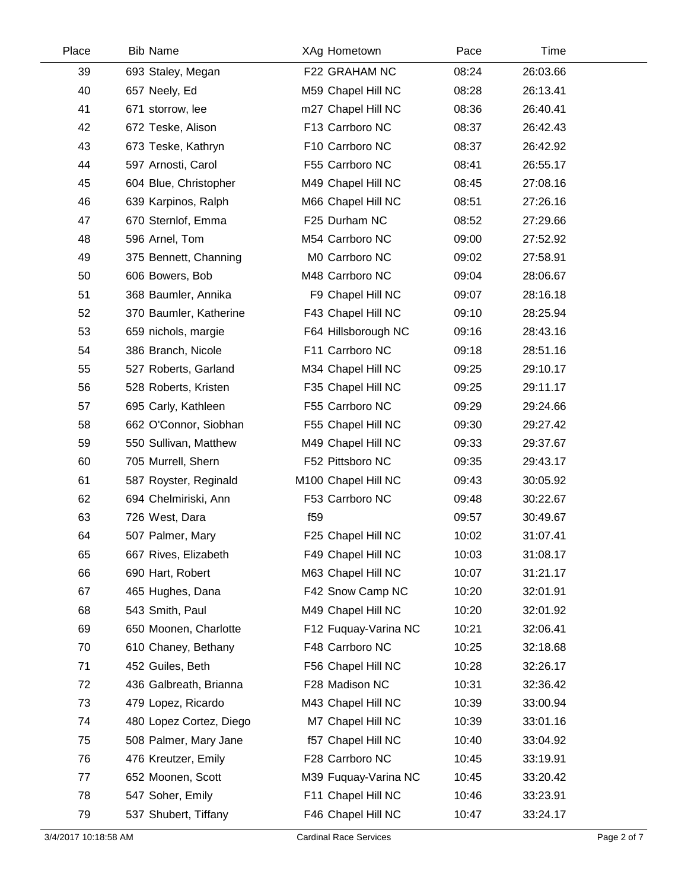| Place | <b>Bib Name</b>         | XAg Hometown         | Pace  | Time     |  |
|-------|-------------------------|----------------------|-------|----------|--|
| 39    | 693 Staley, Megan       | F22 GRAHAM NC        | 08:24 | 26:03.66 |  |
| 40    | 657 Neely, Ed           | M59 Chapel Hill NC   | 08:28 | 26:13.41 |  |
| 41    | 671 storrow, lee        | m27 Chapel Hill NC   | 08:36 | 26:40.41 |  |
| 42    | 672 Teske, Alison       | F13 Carrboro NC      | 08:37 | 26:42.43 |  |
| 43    | 673 Teske, Kathryn      | F10 Carrboro NC      | 08:37 | 26:42.92 |  |
| 44    | 597 Arnosti, Carol      | F55 Carrboro NC      | 08:41 | 26:55.17 |  |
| 45    | 604 Blue, Christopher   | M49 Chapel Hill NC   | 08:45 | 27:08.16 |  |
| 46    | 639 Karpinos, Ralph     | M66 Chapel Hill NC   | 08:51 | 27:26.16 |  |
| 47    | 670 Sternlof, Emma      | F25 Durham NC        | 08:52 | 27:29.66 |  |
| 48    | 596 Arnel, Tom          | M54 Carrboro NC      | 09:00 | 27:52.92 |  |
| 49    | 375 Bennett, Channing   | M0 Carrboro NC       | 09:02 | 27:58.91 |  |
| 50    | 606 Bowers, Bob         | M48 Carrboro NC      | 09:04 | 28:06.67 |  |
| 51    | 368 Baumler, Annika     | F9 Chapel Hill NC    | 09:07 | 28:16.18 |  |
| 52    | 370 Baumler, Katherine  | F43 Chapel Hill NC   | 09:10 | 28:25.94 |  |
| 53    | 659 nichols, margie     | F64 Hillsborough NC  | 09:16 | 28:43.16 |  |
| 54    | 386 Branch, Nicole      | F11 Carrboro NC      | 09:18 | 28:51.16 |  |
| 55    | 527 Roberts, Garland    | M34 Chapel Hill NC   | 09:25 | 29:10.17 |  |
| 56    | 528 Roberts, Kristen    | F35 Chapel Hill NC   | 09:25 | 29:11.17 |  |
| 57    | 695 Carly, Kathleen     | F55 Carrboro NC      | 09:29 | 29:24.66 |  |
| 58    | 662 O'Connor, Siobhan   | F55 Chapel Hill NC   | 09:30 | 29:27.42 |  |
| 59    | 550 Sullivan, Matthew   | M49 Chapel Hill NC   | 09:33 | 29:37.67 |  |
| 60    | 705 Murrell, Shern      | F52 Pittsboro NC     | 09:35 | 29:43.17 |  |
| 61    | 587 Royster, Reginald   | M100 Chapel Hill NC  | 09:43 | 30:05.92 |  |
| 62    | 694 Chelmiriski, Ann    | F53 Carrboro NC      | 09:48 | 30:22.67 |  |
| 63    | 726 West, Dara          | f <sub>59</sub>      | 09:57 | 30:49.67 |  |
| 64    | 507 Palmer, Mary        | F25 Chapel Hill NC   | 10:02 | 31:07.41 |  |
| 65    | 667 Rives, Elizabeth    | F49 Chapel Hill NC   | 10:03 | 31:08.17 |  |
| 66    | 690 Hart, Robert        | M63 Chapel Hill NC   | 10:07 | 31:21.17 |  |
| 67    | 465 Hughes, Dana        | F42 Snow Camp NC     | 10:20 | 32:01.91 |  |
| 68    | 543 Smith, Paul         | M49 Chapel Hill NC   | 10:20 | 32:01.92 |  |
| 69    | 650 Moonen, Charlotte   | F12 Fuquay-Varina NC | 10:21 | 32:06.41 |  |
| 70    | 610 Chaney, Bethany     | F48 Carrboro NC      | 10:25 | 32:18.68 |  |
| 71    | 452 Guiles, Beth        | F56 Chapel Hill NC   | 10:28 | 32:26.17 |  |
| 72    | 436 Galbreath, Brianna  | F28 Madison NC       | 10:31 | 32:36.42 |  |
| 73    | 479 Lopez, Ricardo      | M43 Chapel Hill NC   | 10:39 | 33:00.94 |  |
| 74    | 480 Lopez Cortez, Diego | M7 Chapel Hill NC    | 10:39 | 33:01.16 |  |
| 75    | 508 Palmer, Mary Jane   | f57 Chapel Hill NC   | 10:40 | 33:04.92 |  |
| 76    | 476 Kreutzer, Emily     | F28 Carrboro NC      | 10:45 | 33:19.91 |  |
| 77    | 652 Moonen, Scott       | M39 Fuquay-Varina NC | 10:45 | 33:20.42 |  |
| 78    | 547 Soher, Emily        | F11 Chapel Hill NC   | 10:46 | 33:23.91 |  |
| 79    | 537 Shubert, Tiffany    | F46 Chapel Hill NC   | 10:47 | 33:24.17 |  |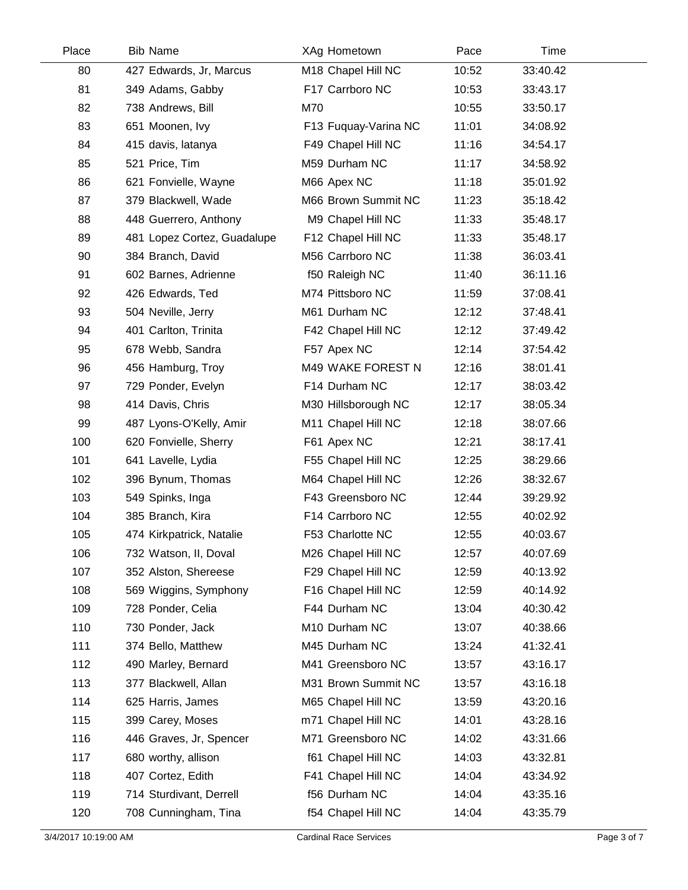| Place | <b>Bib Name</b>             | XAg Hometown         | Pace  | Time     |  |
|-------|-----------------------------|----------------------|-------|----------|--|
| 80    | 427 Edwards, Jr, Marcus     | M18 Chapel Hill NC   | 10:52 | 33:40.42 |  |
| 81    | 349 Adams, Gabby            | F17 Carrboro NC      | 10:53 | 33:43.17 |  |
| 82    | 738 Andrews, Bill           | M70                  | 10:55 | 33:50.17 |  |
| 83    | 651 Moonen, Ivy             | F13 Fuquay-Varina NC | 11:01 | 34:08.92 |  |
| 84    | 415 davis, latanya          | F49 Chapel Hill NC   | 11:16 | 34:54.17 |  |
| 85    | 521 Price, Tim              | M59 Durham NC        | 11:17 | 34:58.92 |  |
| 86    | 621 Fonvielle, Wayne        | M66 Apex NC          | 11:18 | 35:01.92 |  |
| 87    | 379 Blackwell, Wade         | M66 Brown Summit NC  | 11:23 | 35:18.42 |  |
| 88    | 448 Guerrero, Anthony       | M9 Chapel Hill NC    | 11:33 | 35:48.17 |  |
| 89    | 481 Lopez Cortez, Guadalupe | F12 Chapel Hill NC   | 11:33 | 35:48.17 |  |
| 90    | 384 Branch, David           | M56 Carrboro NC      | 11:38 | 36:03.41 |  |
| 91    | 602 Barnes, Adrienne        | f50 Raleigh NC       | 11:40 | 36:11.16 |  |
| 92    | 426 Edwards, Ted            | M74 Pittsboro NC     | 11:59 | 37:08.41 |  |
| 93    | 504 Neville, Jerry          | M61 Durham NC        | 12:12 | 37:48.41 |  |
| 94    | 401 Carlton, Trinita        | F42 Chapel Hill NC   | 12:12 | 37:49.42 |  |
| 95    | 678 Webb, Sandra            | F57 Apex NC          | 12:14 | 37:54.42 |  |
| 96    | 456 Hamburg, Troy           | M49 WAKE FOREST N    | 12:16 | 38:01.41 |  |
| 97    | 729 Ponder, Evelyn          | F14 Durham NC        | 12:17 | 38:03.42 |  |
| 98    | 414 Davis, Chris            | M30 Hillsborough NC  | 12:17 | 38:05.34 |  |
| 99    | 487 Lyons-O'Kelly, Amir     | M11 Chapel Hill NC   | 12:18 | 38:07.66 |  |
| 100   | 620 Fonvielle, Sherry       | F61 Apex NC          | 12:21 | 38:17.41 |  |
| 101   | 641 Lavelle, Lydia          | F55 Chapel Hill NC   | 12:25 | 38:29.66 |  |
| 102   | 396 Bynum, Thomas           | M64 Chapel Hill NC   | 12:26 | 38:32.67 |  |
| 103   | 549 Spinks, Inga            | F43 Greensboro NC    | 12:44 | 39:29.92 |  |
| 104   | 385 Branch, Kira            | F14 Carrboro NC      | 12:55 | 40:02.92 |  |
| 105   | 474 Kirkpatrick, Natalie    | F53 Charlotte NC     | 12:55 | 40:03.67 |  |
| 106   | 732 Watson, II, Doval       | M26 Chapel Hill NC   | 12:57 | 40:07.69 |  |
| 107   | 352 Alston, Shereese        | F29 Chapel Hill NC   | 12:59 | 40:13.92 |  |
| 108   | 569 Wiggins, Symphony       | F16 Chapel Hill NC   | 12:59 | 40:14.92 |  |
| 109   | 728 Ponder, Celia           | F44 Durham NC        | 13:04 | 40:30.42 |  |
| 110   | 730 Ponder, Jack            | M10 Durham NC        | 13:07 | 40:38.66 |  |
| 111   | 374 Bello, Matthew          | M45 Durham NC        | 13:24 | 41:32.41 |  |
| 112   | 490 Marley, Bernard         | M41 Greensboro NC    | 13:57 | 43:16.17 |  |
| 113   | 377 Blackwell, Allan        | M31 Brown Summit NC  | 13:57 | 43:16.18 |  |
| 114   | 625 Harris, James           | M65 Chapel Hill NC   | 13:59 | 43:20.16 |  |
| 115   | 399 Carey, Moses            | m71 Chapel Hill NC   | 14:01 | 43:28.16 |  |
| 116   | 446 Graves, Jr, Spencer     | M71 Greensboro NC    | 14:02 | 43:31.66 |  |
| 117   | 680 worthy, allison         | f61 Chapel Hill NC   | 14:03 | 43:32.81 |  |
| 118   | 407 Cortez, Edith           | F41 Chapel Hill NC   | 14:04 | 43:34.92 |  |
| 119   | 714 Sturdivant, Derrell     | f56 Durham NC        | 14:04 | 43:35.16 |  |
| 120   | 708 Cunningham, Tina        | f54 Chapel Hill NC   | 14:04 | 43:35.79 |  |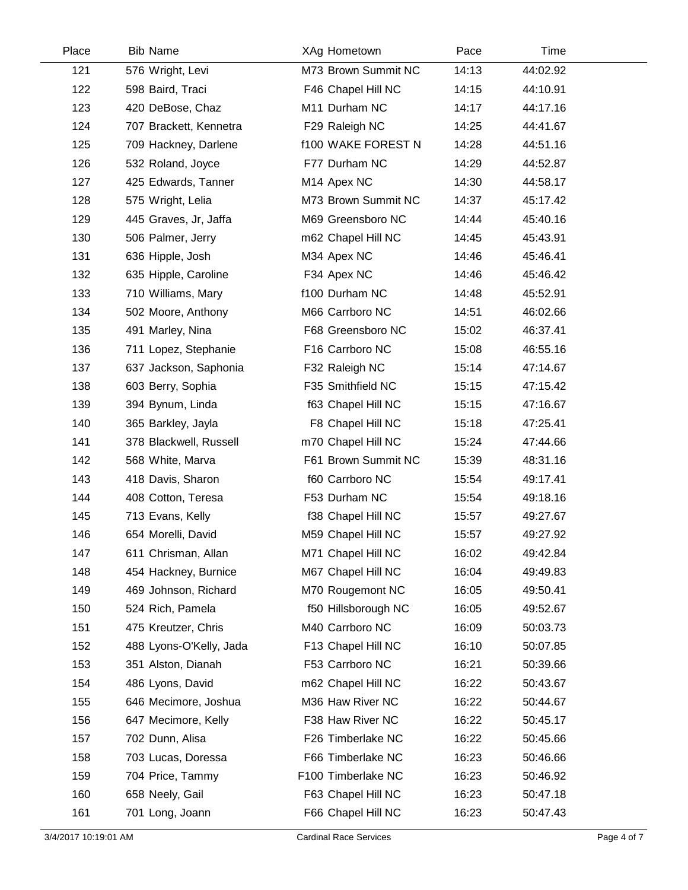| Place | <b>Bib Name</b>         | XAg Hometown              | Pace  | Time     |
|-------|-------------------------|---------------------------|-------|----------|
| 121   | 576 Wright, Levi        | M73 Brown Summit NC       | 14:13 | 44:02.92 |
| 122   | 598 Baird, Traci        | F46 Chapel Hill NC        | 14:15 | 44:10.91 |
| 123   | 420 DeBose, Chaz        | M11 Durham NC             | 14:17 | 44:17.16 |
| 124   | 707 Brackett, Kennetra  | F29 Raleigh NC            | 14:25 | 44:41.67 |
| 125   | 709 Hackney, Darlene    | <b>f100 WAKE FOREST N</b> | 14:28 | 44:51.16 |
| 126   | 532 Roland, Joyce       | F77 Durham NC             | 14:29 | 44:52.87 |
| 127   | 425 Edwards, Tanner     | M14 Apex NC               | 14:30 | 44:58.17 |
| 128   | 575 Wright, Lelia       | M73 Brown Summit NC       | 14:37 | 45:17.42 |
| 129   | 445 Graves, Jr, Jaffa   | M69 Greensboro NC         | 14:44 | 45:40.16 |
| 130   | 506 Palmer, Jerry       | m62 Chapel Hill NC        | 14:45 | 45:43.91 |
| 131   | 636 Hipple, Josh        | M34 Apex NC               | 14:46 | 45:46.41 |
| 132   | 635 Hipple, Caroline    | F34 Apex NC               | 14:46 | 45:46.42 |
| 133   | 710 Williams, Mary      | f100 Durham NC            | 14:48 | 45:52.91 |
| 134   | 502 Moore, Anthony      | M66 Carrboro NC           | 14:51 | 46:02.66 |
| 135   | 491 Marley, Nina        | F68 Greensboro NC         | 15:02 | 46:37.41 |
| 136   | 711 Lopez, Stephanie    | F16 Carrboro NC           | 15:08 | 46:55.16 |
| 137   | 637 Jackson, Saphonia   | F32 Raleigh NC            | 15:14 | 47:14.67 |
| 138   | 603 Berry, Sophia       | F35 Smithfield NC         | 15:15 | 47:15.42 |
| 139   | 394 Bynum, Linda        | f63 Chapel Hill NC        | 15:15 | 47:16.67 |
| 140   | 365 Barkley, Jayla      | F8 Chapel Hill NC         | 15:18 | 47:25.41 |
| 141   | 378 Blackwell, Russell  | m70 Chapel Hill NC        | 15:24 | 47:44.66 |
| 142   | 568 White, Marva        | F61 Brown Summit NC       | 15:39 | 48:31.16 |
| 143   | 418 Davis, Sharon       | f60 Carrboro NC           | 15:54 | 49:17.41 |
| 144   | 408 Cotton, Teresa      | F53 Durham NC             | 15:54 | 49:18.16 |
| 145   | 713 Evans, Kelly        | f38 Chapel Hill NC        | 15:57 | 49:27.67 |
| 146   | 654 Morelli, David      | M59 Chapel Hill NC        | 15:57 | 49:27.92 |
| 147   | 611 Chrisman, Allan     | M71 Chapel Hill NC        | 16:02 | 49:42.84 |
| 148   | 454 Hackney, Burnice    | M67 Chapel Hill NC        | 16:04 | 49:49.83 |
| 149   | 469 Johnson, Richard    | M70 Rougemont NC          | 16:05 | 49:50.41 |
| 150   | 524 Rich, Pamela        | f50 Hillsborough NC       | 16:05 | 49:52.67 |
| 151   | 475 Kreutzer, Chris     | M40 Carrboro NC           | 16:09 | 50:03.73 |
| 152   | 488 Lyons-O'Kelly, Jada | F13 Chapel Hill NC        | 16:10 | 50:07.85 |
| 153   | 351 Alston, Dianah      | F53 Carrboro NC           | 16:21 | 50:39.66 |
| 154   | 486 Lyons, David        | m62 Chapel Hill NC        | 16:22 | 50:43.67 |
| 155   | 646 Mecimore, Joshua    | M36 Haw River NC          | 16:22 | 50:44.67 |
| 156   | 647 Mecimore, Kelly     | F38 Haw River NC          | 16:22 | 50:45.17 |
| 157   | 702 Dunn, Alisa         | F26 Timberlake NC         | 16:22 | 50:45.66 |
| 158   | 703 Lucas, Doressa      | F66 Timberlake NC         | 16:23 | 50:46.66 |
| 159   | 704 Price, Tammy        | F100 Timberlake NC        | 16:23 | 50:46.92 |
| 160   | 658 Neely, Gail         | F63 Chapel Hill NC        | 16:23 | 50:47.18 |
| 161   | 701 Long, Joann         | F66 Chapel Hill NC        | 16:23 | 50:47.43 |
|       |                         |                           |       |          |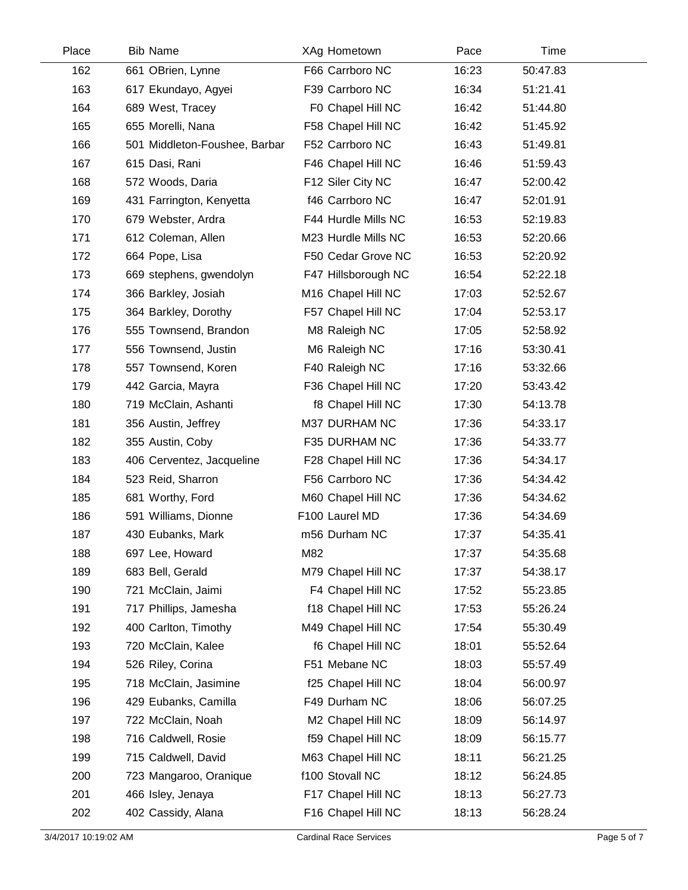| Place | <b>Bib Name</b>               | XAg Hometown        | Pace  | Time     |  |
|-------|-------------------------------|---------------------|-------|----------|--|
| 162   | 661 OBrien, Lynne             | F66 Carrboro NC     | 16:23 | 50:47.83 |  |
| 163   | 617 Ekundayo, Agyei           | F39 Carrboro NC     | 16:34 | 51:21.41 |  |
| 164   | 689 West, Tracey              | F0 Chapel Hill NC   | 16:42 | 51:44.80 |  |
| 165   | 655 Morelli, Nana             | F58 Chapel Hill NC  | 16:42 | 51:45.92 |  |
| 166   | 501 Middleton-Foushee, Barbar | F52 Carrboro NC     | 16:43 | 51:49.81 |  |
| 167   | 615 Dasi, Rani                | F46 Chapel Hill NC  | 16:46 | 51:59.43 |  |
| 168   | 572 Woods, Daria              | F12 Siler City NC   | 16:47 | 52:00.42 |  |
| 169   | 431 Farrington, Kenyetta      | f46 Carrboro NC     | 16:47 | 52:01.91 |  |
| 170   | 679 Webster, Ardra            | F44 Hurdle Mills NC | 16:53 | 52:19.83 |  |
| 171   | 612 Coleman, Allen            | M23 Hurdle Mills NC | 16:53 | 52:20.66 |  |
| 172   | 664 Pope, Lisa                | F50 Cedar Grove NC  | 16:53 | 52:20.92 |  |
| 173   | 669 stephens, gwendolyn       | F47 Hillsborough NC | 16:54 | 52:22.18 |  |
| 174   | 366 Barkley, Josiah           | M16 Chapel Hill NC  | 17:03 | 52:52.67 |  |
| 175   | 364 Barkley, Dorothy          | F57 Chapel Hill NC  | 17:04 | 52:53.17 |  |
| 176   | 555 Townsend, Brandon         | M8 Raleigh NC       | 17:05 | 52:58.92 |  |
| 177   | 556 Townsend, Justin          | M6 Raleigh NC       | 17:16 | 53:30.41 |  |
| 178   | 557 Townsend, Koren           | F40 Raleigh NC      | 17:16 | 53:32.66 |  |
| 179   | 442 Garcia, Mayra             | F36 Chapel Hill NC  | 17:20 | 53:43.42 |  |
| 180   | 719 McClain, Ashanti          | f8 Chapel Hill NC   | 17:30 | 54:13.78 |  |
| 181   | 356 Austin, Jeffrey           | M37 DURHAM NC       | 17:36 | 54:33.17 |  |
| 182   | 355 Austin, Coby              | F35 DURHAM NC       | 17:36 | 54:33.77 |  |
| 183   | 406 Cerventez, Jacqueline     | F28 Chapel Hill NC  | 17:36 | 54:34.17 |  |
| 184   | 523 Reid, Sharron             | F56 Carrboro NC     | 17:36 | 54:34.42 |  |
| 185   | 681 Worthy, Ford              | M60 Chapel Hill NC  | 17:36 | 54:34.62 |  |
| 186   | 591 Williams, Dionne          | F100 Laurel MD      | 17:36 | 54:34.69 |  |
| 187   | 430 Eubanks, Mark             | m56 Durham NC       | 17:37 | 54:35.41 |  |
| 188   | 697 Lee, Howard               | M82                 | 17:37 | 54:35.68 |  |
| 189   | 683 Bell, Gerald              | M79 Chapel Hill NC  | 17:37 | 54:38.17 |  |
| 190   | 721 McClain, Jaimi            | F4 Chapel Hill NC   | 17:52 | 55:23.85 |  |
| 191   | 717 Phillips, Jamesha         | f18 Chapel Hill NC  | 17:53 | 55:26.24 |  |
| 192   | 400 Carlton, Timothy          | M49 Chapel Hill NC  | 17:54 | 55:30.49 |  |
| 193   | 720 McClain, Kalee            | f6 Chapel Hill NC   | 18:01 | 55:52.64 |  |
| 194   | 526 Riley, Corina             | F51 Mebane NC       | 18:03 | 55:57.49 |  |
| 195   | 718 McClain, Jasimine         | f25 Chapel Hill NC  | 18:04 | 56:00.97 |  |
| 196   | 429 Eubanks, Camilla          | F49 Durham NC       | 18:06 | 56:07.25 |  |
| 197   | 722 McClain, Noah             | M2 Chapel Hill NC   | 18:09 | 56:14.97 |  |
| 198   | 716 Caldwell, Rosie           | f59 Chapel Hill NC  | 18:09 | 56:15.77 |  |
| 199   | 715 Caldwell, David           | M63 Chapel Hill NC  | 18:11 | 56:21.25 |  |
| 200   | 723 Mangaroo, Oranique        | f100 Stovall NC     | 18:12 | 56:24.85 |  |
| 201   | 466 Isley, Jenaya             | F17 Chapel Hill NC  | 18:13 | 56:27.73 |  |
| 202   | 402 Cassidy, Alana            | F16 Chapel Hill NC  | 18:13 | 56:28.24 |  |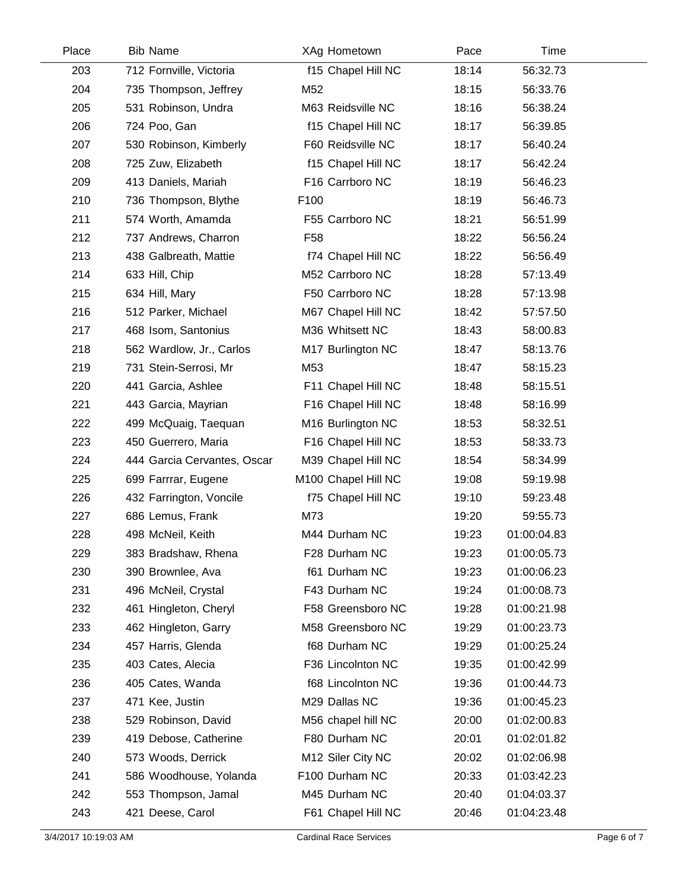| Place | <b>Bib Name</b>             | XAg Hometown        | Pace  | Time        |  |
|-------|-----------------------------|---------------------|-------|-------------|--|
| 203   | 712 Fornville, Victoria     | f15 Chapel Hill NC  | 18:14 | 56:32.73    |  |
| 204   | 735 Thompson, Jeffrey       | M52                 | 18:15 | 56:33.76    |  |
| 205   | 531 Robinson, Undra         | M63 Reidsville NC   | 18:16 | 56:38.24    |  |
| 206   | 724 Poo, Gan                | f15 Chapel Hill NC  | 18:17 | 56:39.85    |  |
| 207   | 530 Robinson, Kimberly      | F60 Reidsville NC   | 18:17 | 56:40.24    |  |
| 208   | 725 Zuw, Elizabeth          | f15 Chapel Hill NC  | 18:17 | 56:42.24    |  |
| 209   | 413 Daniels, Mariah         | F16 Carrboro NC     | 18:19 | 56:46.23    |  |
| 210   | 736 Thompson, Blythe        | F100                | 18:19 | 56:46.73    |  |
| 211   | 574 Worth, Amamda           | F55 Carrboro NC     | 18:21 | 56:51.99    |  |
| 212   | 737 Andrews, Charron        | F <sub>58</sub>     | 18:22 | 56:56.24    |  |
| 213   | 438 Galbreath, Mattie       | f74 Chapel Hill NC  | 18:22 | 56:56.49    |  |
| 214   | 633 Hill, Chip              | M52 Carrboro NC     | 18:28 | 57:13.49    |  |
| 215   | 634 Hill, Mary              | F50 Carrboro NC     | 18:28 | 57:13.98    |  |
| 216   | 512 Parker, Michael         | M67 Chapel Hill NC  | 18:42 | 57:57.50    |  |
| 217   | 468 Isom, Santonius         | M36 Whitsett NC     | 18:43 | 58:00.83    |  |
| 218   | 562 Wardlow, Jr., Carlos    | M17 Burlington NC   | 18:47 | 58:13.76    |  |
| 219   | 731 Stein-Serrosi, Mr       | M53                 | 18:47 | 58:15.23    |  |
| 220   | 441 Garcia, Ashlee          | F11 Chapel Hill NC  | 18:48 | 58:15.51    |  |
| 221   | 443 Garcia, Mayrian         | F16 Chapel Hill NC  | 18:48 | 58:16.99    |  |
| 222   | 499 McQuaig, Taequan        | M16 Burlington NC   | 18:53 | 58:32.51    |  |
| 223   | 450 Guerrero, Maria         | F16 Chapel Hill NC  | 18:53 | 58:33.73    |  |
| 224   | 444 Garcia Cervantes, Oscar | M39 Chapel Hill NC  | 18:54 | 58:34.99    |  |
| 225   | 699 Farrrar, Eugene         | M100 Chapel Hill NC | 19:08 | 59:19.98    |  |
| 226   | 432 Farrington, Voncile     | f75 Chapel Hill NC  | 19:10 | 59:23.48    |  |
| 227   | 686 Lemus, Frank            | M73                 | 19:20 | 59:55.73    |  |
| 228   | 498 McNeil, Keith           | M44 Durham NC       | 19:23 | 01:00:04.83 |  |
| 229   | 383 Bradshaw, Rhena         | F28 Durham NC       | 19:23 | 01:00:05.73 |  |
| 230   | 390 Brownlee, Ava           | f61 Durham NC       | 19:23 | 01:00:06.23 |  |
| 231   | 496 McNeil, Crystal         | F43 Durham NC       | 19:24 | 01:00:08.73 |  |
| 232   | 461 Hingleton, Cheryl       | F58 Greensboro NC   | 19:28 | 01:00:21.98 |  |
| 233   | 462 Hingleton, Garry        | M58 Greensboro NC   | 19:29 | 01:00:23.73 |  |
| 234   | 457 Harris, Glenda          | f68 Durham NC       | 19:29 | 01:00:25.24 |  |
| 235   | 403 Cates, Alecia           | F36 Lincolnton NC   | 19:35 | 01:00:42.99 |  |
| 236   | 405 Cates, Wanda            | f68 Lincolnton NC   | 19:36 | 01:00:44.73 |  |
| 237   | 471 Kee, Justin             | M29 Dallas NC       | 19:36 | 01:00:45.23 |  |
| 238   | 529 Robinson, David         | M56 chapel hill NC  | 20:00 | 01:02:00.83 |  |
| 239   | 419 Debose, Catherine       | F80 Durham NC       | 20:01 | 01:02:01.82 |  |
| 240   | 573 Woods, Derrick          | M12 Siler City NC   | 20:02 | 01:02:06.98 |  |
| 241   | 586 Woodhouse, Yolanda      | F100 Durham NC      | 20:33 | 01:03:42.23 |  |
| 242   | 553 Thompson, Jamal         | M45 Durham NC       | 20:40 | 01:04:03.37 |  |
| 243   | 421 Deese, Carol            | F61 Chapel Hill NC  | 20:46 | 01:04:23.48 |  |